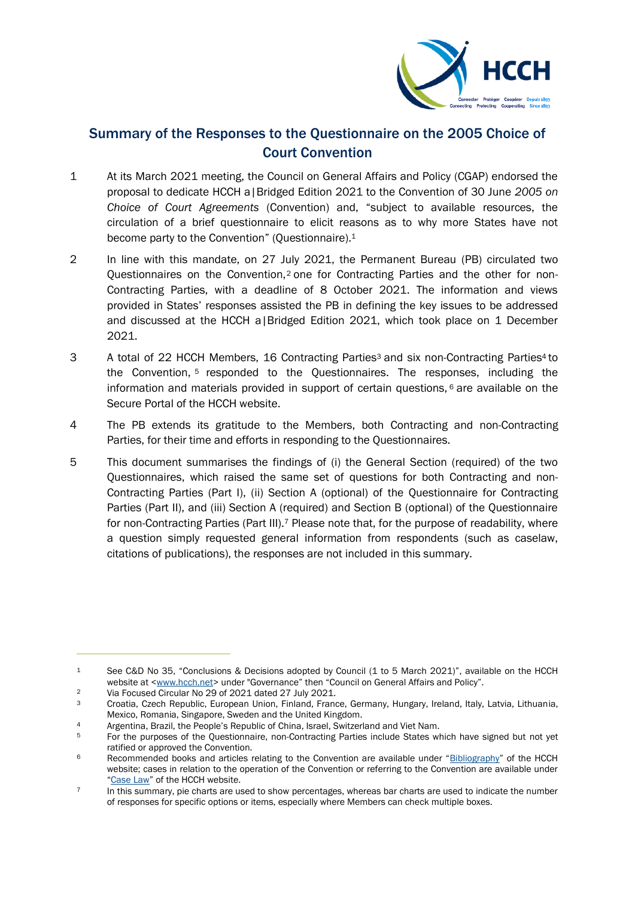

# Summary of the Responses to the Questionnaire on the 2005 Choice of Court Convention

- 1 At its March 2021 meeting, the Council on General Affairs and Policy (CGAP) endorsed the proposal to dedicate HCCH a|Bridged Edition 2021 to the Convention of 30 June *2005 on Choice of Court Agreements* (Convention) and, "subject to available resources, the circulation of a brief questionnaire to elicit reasons as to why more States have not become party to the Convention" (Questionnaire).<sup>1</sup>
- 2 In line with this mandate, on 27 July 2021, the Permanent Bureau (PB) circulated two Questionnaires on the Convention,<sup>2</sup> one for Contracting Parties and the other for non-Contracting Parties, with a deadline of 8 October 2021. The information and views provided in States' responses assisted the PB in defining the key issues to be addressed and discussed at the HCCH a|Bridged Edition 2021, which took place on 1 December 2021.
- 3 A total of 22 HCCH Members, 16 Contracting Parties<sup>3</sup> and six non-Contracting Parties<sup>4</sup> to the Convention, <sup>5</sup> responded to the Questionnaires. The responses, including the information and materials provided in support of certain questions,  $6$  are available on the Secure Portal of the HCCH website.
- 4 The PB extends its gratitude to the Members, both Contracting and non-Contracting Parties, for their time and efforts in responding to the Questionnaires.
- 5 This document summarises the findings of (i) the General Section (required) of the two Questionnaires, which raised the same set of questions for both Contracting and non-Contracting Parties (Part I), (ii) Section A (optional) of the Questionnaire for Contracting Parties (Part II), and (iii) Section A (required) and Section B (optional) of the Questionnaire for non-Contracting Parties (Part III).<sup>7</sup> Please note that, for the purpose of readability, where a question simply requested general information from respondents (such as caselaw, citations of publications), the responses are not included in this summary.

<sup>1</sup> See C&D No 35, "Conclusions & Decisions adopted by Council (1 to 5 March 2021)", available on the HCCH website at [<www.hcch.net>](http://www.hcch.net/) under "Governance" then "Council on General Affairs and Policy".

<sup>&</sup>lt;sup>2</sup> Via Focused Circular No 29 of 2021 dated 27 July 2021.

<sup>3</sup> Croatia, Czech Republic, European Union, Finland, France, Germany, Hungary, Ireland, Italy, Latvia, Lithuania, Mexico, Romania, Singapore, Sweden and the United Kingdom.

<sup>4</sup> Argentina, Brazil, the People's Republic of China, Israel, Switzerland and Viet Nam.

<sup>&</sup>lt;sup>5</sup> For the purposes of the Questionnaire, non-Contracting Parties include States which have signed but not yet ratified or approved the Convention.

<sup>6</sup> Recommended books and articles relating to the Convention are available under "[Bibliography](https://www.hcch.net/en/instruments/conventions/publications1/?dtid=1&cid=98)" of the HCCH website; cases in relation to the operation of the Convention or referring to the Convention are available under "[Case Law](https://www.hcch.net/en/instruments/specialised-sections/choice-of-court/case-law-coca)" of the HCCH website.

<sup>7</sup> In this summary, pie charts are used to show percentages, whereas bar charts are used to indicate the number of responses for specific options or items, especially where Members can check multiple boxes.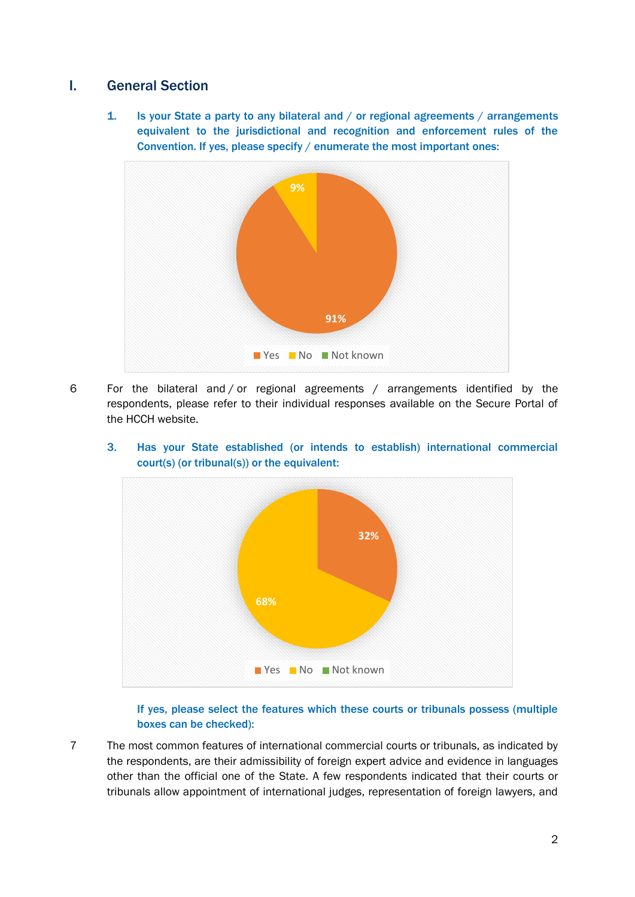# I. General Section

1. Is your State a party to any bilateral and / or regional agreements / arrangements equivalent to the jurisdictional and recognition and enforcement rules of the Convention. If yes, please specify / enumerate the most important ones:



6 For the bilateral and / or regional agreements / arrangements identified by the respondents, please refer to their individual responses available on the Secure Portal of the HCCH website.



3. Has your State established (or intends to establish) international commercial court(s) (or tribunal(s)) or the equivalent:

# If yes, please select the features which these courts or tribunals possess (multiple boxes can be checked):

7 The most common features of international commercial courts or tribunals, as indicated by the respondents, are their admissibility of foreign expert advice and evidence in languages other than the official one of the State. A few respondents indicated that their courts or tribunals allow appointment of international judges, representation of foreign lawyers, and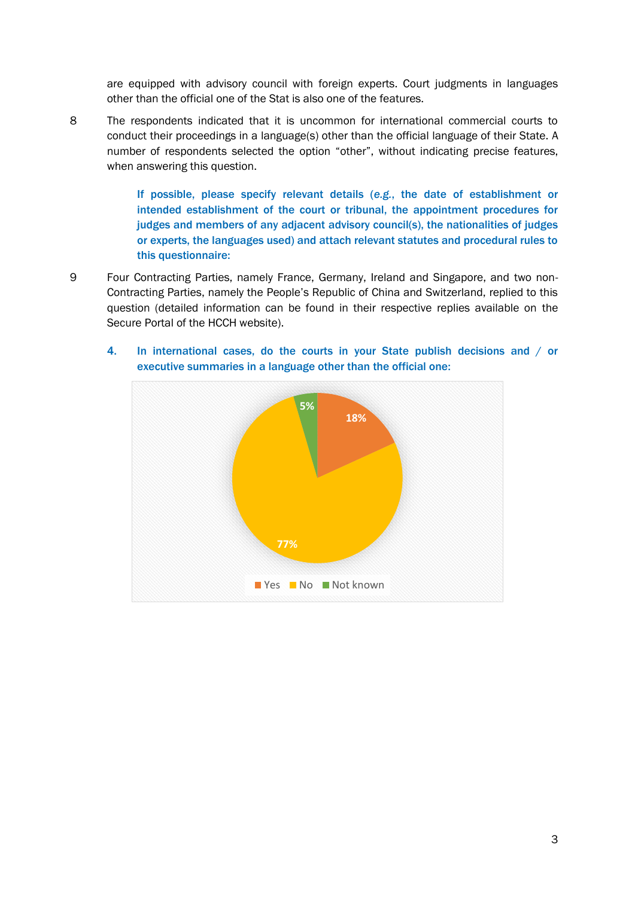are equipped with advisory council with foreign experts. Court judgments in languages other than the official one of the Stat is also one of the features.

8 The respondents indicated that it is uncommon for international commercial courts to conduct their proceedings in a language(s) other than the official language of their State. A number of respondents selected the option "other", without indicating precise features, when answering this question.

> If possible, please specify relevant details (*e.g.*, the date of establishment or intended establishment of the court or tribunal, the appointment procedures for judges and members of any adjacent advisory council(s), the nationalities of judges or experts, the languages used) and attach relevant statutes and procedural rules to this questionnaire:

9 Four Contracting Parties, namely France, Germany, Ireland and Singapore, and two non-Contracting Parties, namely the People's Republic of China and Switzerland, replied to this question (detailed information can be found in their respective replies available on the Secure Portal of the HCCH website).



4. In international cases, do the courts in your State publish decisions and / or executive summaries in a language other than the official one: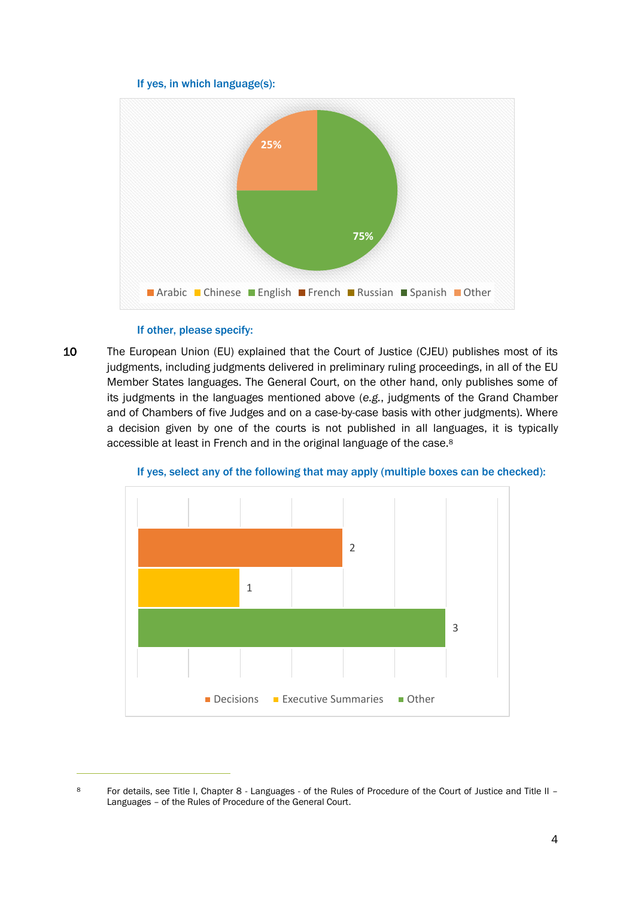## If yes, in which language(s):



## If other, please specify:

10 The European Union (EU) explained that the Court of Justice (CJEU) publishes most of its judgments, including judgments delivered in preliminary ruling proceedings, in all of the EU Member States languages. The General Court, on the other hand, only publishes some of its judgments in the languages mentioned above (*e.g.*, judgments of the Grand Chamber and of Chambers of five Judges and on a case-by-case basis with other judgments). Where a decision given by one of the courts is not published in all languages, it is typically accessible at least in French and in the original language of the case.<sup>8</sup>



If yes, select any of the following that may apply (multiple boxes can be checked):

<sup>8</sup> For details, see Title I, Chapter 8 - Languages - of the Rules of Procedure of the Court of Justice and Title II -Languages – of the Rules of Procedure of the General Court.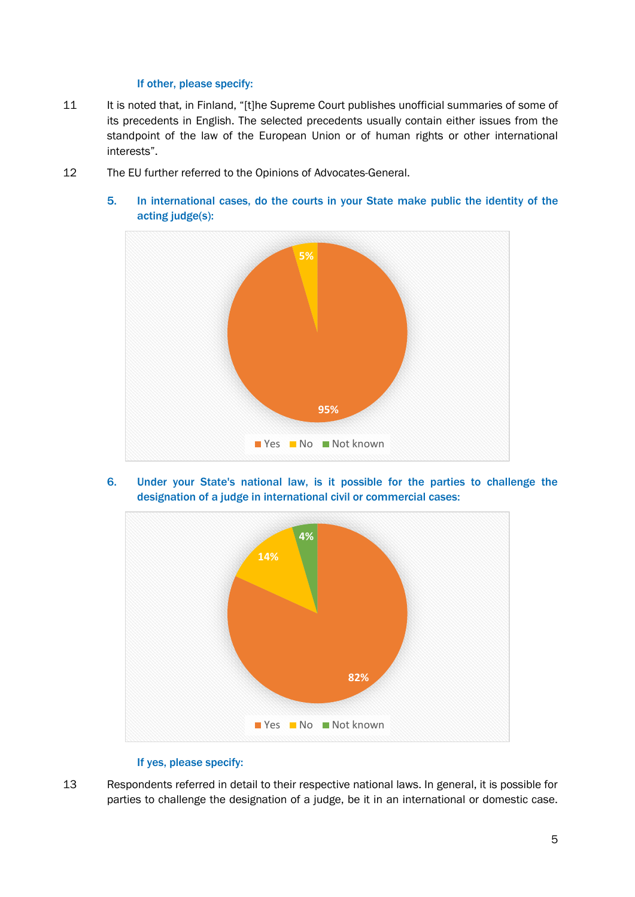## If other, please specify:

- 11 It is noted that, in Finland, "[t]he Supreme Court publishes unofficial summaries of some of its precedents in English. The selected precedents usually contain either issues from the standpoint of the law of the European Union or of human rights or other international interests".
- 12 The EU further referred to the Opinions of Advocates-General.



5. In international cases, do the courts in your State make public the identity of the acting judge(s):

6. Under your State's national law, is it possible for the parties to challenge the designation of a judge in international civil or commercial cases:



## If yes, please specify:

13 Respondents referred in detail to their respective national laws. In general, it is possible for parties to challenge the designation of a judge, be it in an international or domestic case.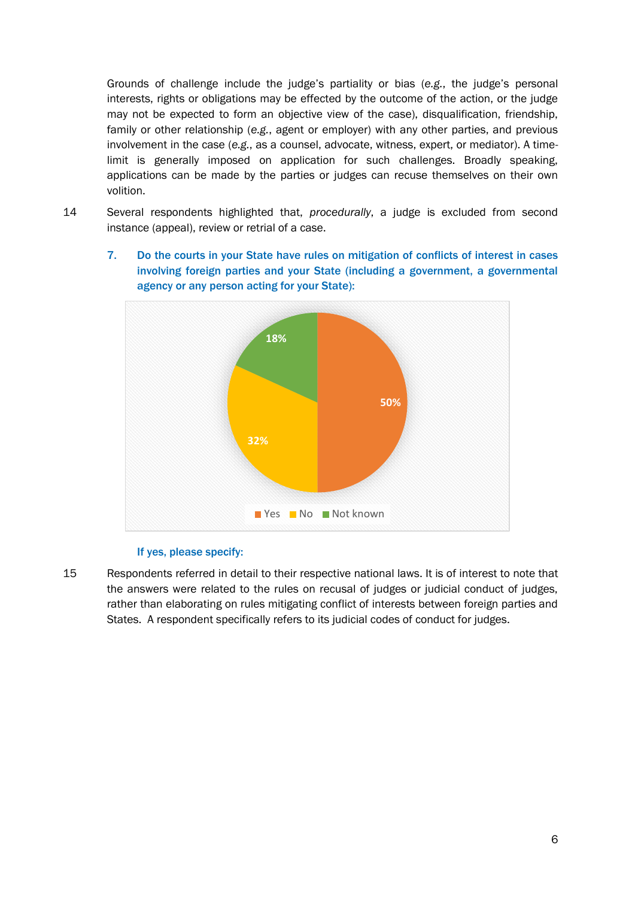Grounds of challenge include the judge's partiality or bias (*e.g.*, the judge's personal interests, rights or obligations may be effected by the outcome of the action, or the judge may not be expected to form an objective view of the case), disqualification, friendship, family or other relationship (*e.g.*, agent or employer) with any other parties, and previous involvement in the case (*e.g.*, as a counsel, advocate, witness, expert, or mediator). A timelimit is generally imposed on application for such challenges. Broadly speaking, applications can be made by the parties or judges can recuse themselves on their own volition.

- 14 Several respondents highlighted that, *procedurally*, a judge is excluded from second instance (appeal), review or retrial of a case.
	- 7. Do the courts in your State have rules on mitigation of conflicts of interest in cases involving foreign parties and your State (including a government, a governmental agency or any person acting for your State):



## If yes, please specify:

15 Respondents referred in detail to their respective national laws. It is of interest to note that the answers were related to the rules on recusal of judges or judicial conduct of judges, rather than elaborating on rules mitigating conflict of interests between foreign parties and States. A respondent specifically refers to its judicial codes of conduct for judges.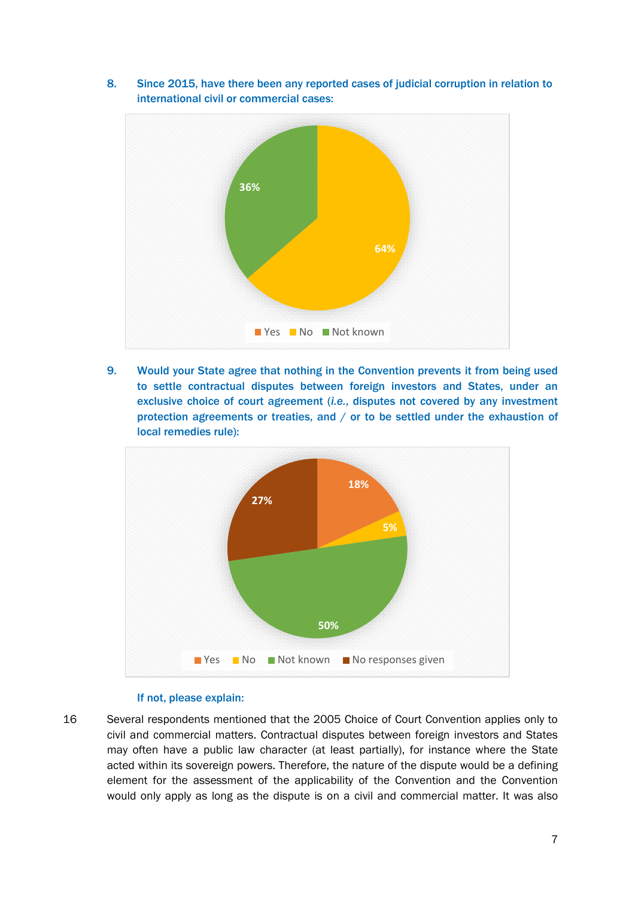8. Since 2015, have there been any reported cases of judicial corruption in relation to international civil or commercial cases:



9. Would your State agree that nothing in the Convention prevents it from being used to settle contractual disputes between foreign investors and States, under an exclusive choice of court agreement (*i.e.*, disputes not covered by any investment protection agreements or treaties, and / or to be settled under the exhaustion of local remedies rule):



#### If not, please explain:

16 Several respondents mentioned that the 2005 Choice of Court Convention applies only to civil and commercial matters. Contractual disputes between foreign investors and States may often have a public law character (at least partially), for instance where the State acted within its sovereign powers. Therefore, the nature of the dispute would be a defining element for the assessment of the applicability of the Convention and the Convention would only apply as long as the dispute is on a civil and commercial matter. It was also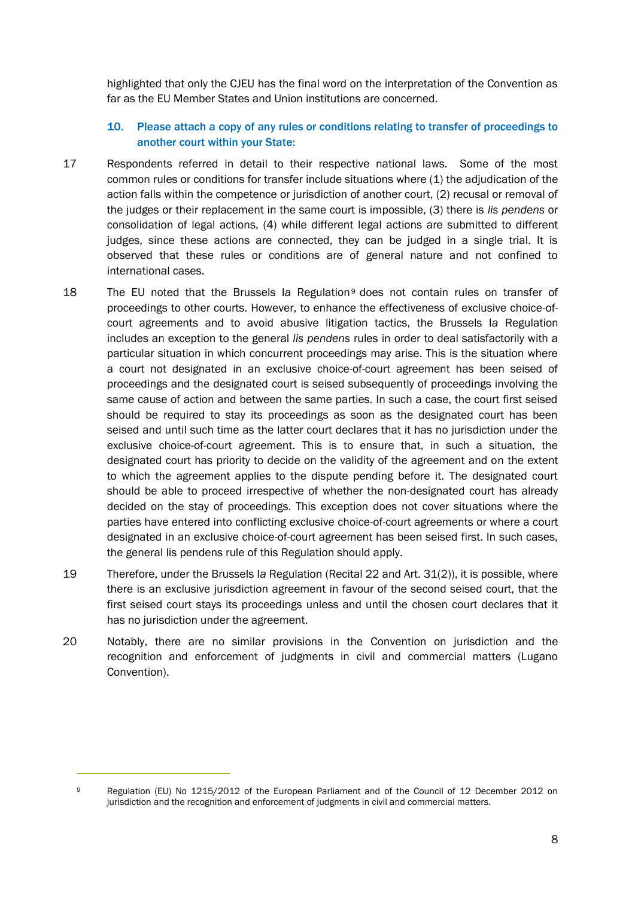highlighted that only the CJEU has the final word on the interpretation of the Convention as far as the EU Member States and Union institutions are concerned.

# 10. Please attach a copy of any rules or conditions relating to transfer of proceedings to another court within your State:

- 17 Respondents referred in detail to their respective national laws. Some of the most common rules or conditions for transfer include situations where (1) the adjudication of the action falls within the competence or jurisdiction of another court, (2) recusal or removal of the judges or their replacement in the same court is impossible, (3) there is *lis pendens* or consolidation of legal actions, (4) while different legal actions are submitted to different judges, since these actions are connected, they can be judged in a single trial. It is observed that these rules or conditions are of general nature and not confined to international cases.
- 18 The EU noted that the Brussels I*a* Regulation<sup>9</sup> does not contain rules on transfer of proceedings to other courts. However, to enhance the effectiveness of exclusive choice-ofcourt agreements and to avoid abusive litigation tactics, the Brussels I*a* Regulation includes an exception to the general *lis pendens* rules in order to deal satisfactorily with a particular situation in which concurrent proceedings may arise. This is the situation where a court not designated in an exclusive choice-of-court agreement has been seised of proceedings and the designated court is seised subsequently of proceedings involving the same cause of action and between the same parties. In such a case, the court first seised should be required to stay its proceedings as soon as the designated court has been seised and until such time as the latter court declares that it has no jurisdiction under the exclusive choice-of-court agreement. This is to ensure that, in such a situation, the designated court has priority to decide on the validity of the agreement and on the extent to which the agreement applies to the dispute pending before it. The designated court should be able to proceed irrespective of whether the non-designated court has already decided on the stay of proceedings. This exception does not cover situations where the parties have entered into conflicting exclusive choice-of-court agreements or where a court designated in an exclusive choice-of-court agreement has been seised first. In such cases, the general lis pendens rule of this Regulation should apply.
- 19 Therefore, under the Brussels I*a* Regulation (Recital 22 and Art. 31(2)), it is possible, where there is an exclusive jurisdiction agreement in favour of the second seised court, that the first seised court stays its proceedings unless and until the chosen court declares that it has no jurisdiction under the agreement.
- 20 Notably, there are no similar provisions in the Convention on jurisdiction and the recognition and enforcement of judgments in civil and commercial matters (Lugano Convention).

<sup>9</sup> Regulation (EU) No 1215/2012 of the European Parliament and of the Council of 12 December 2012 on jurisdiction and the recognition and enforcement of judgments in civil and commercial matters.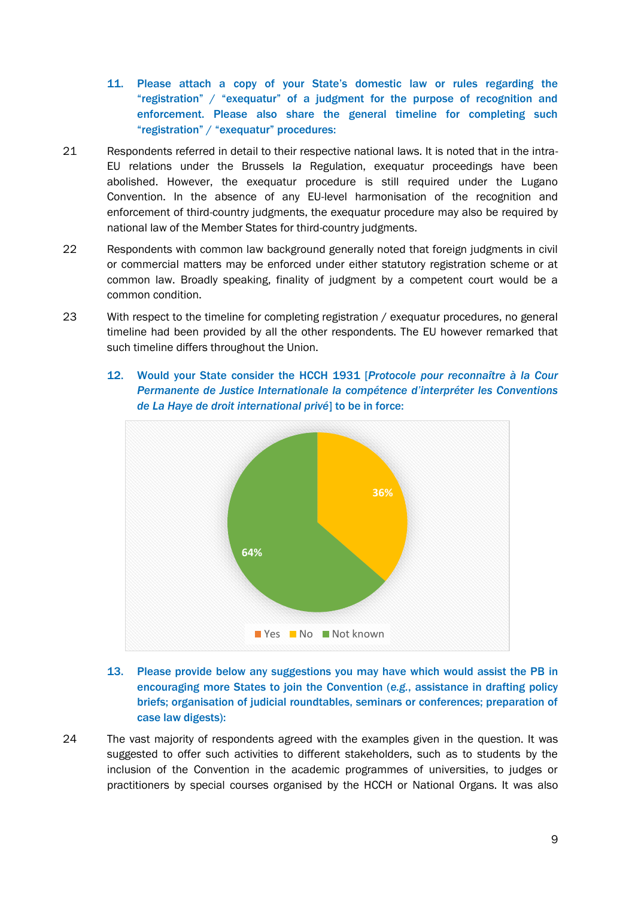- 11. Please attach a copy of your State's domestic law or rules regarding the "registration" / "exequatur" of a judgment for the purpose of recognition and enforcement. Please also share the general timeline for completing such "registration" / "exequatur" procedures:
- 21 Respondents referred in detail to their respective national laws. It is noted that in the intra-EU relations under the Brussels I*a* Regulation, exequatur proceedings have been abolished. However, the exequatur procedure is still required under the Lugano Convention. In the absence of any EU-level harmonisation of the recognition and enforcement of third-country judgments, the exequatur procedure may also be required by national law of the Member States for third-country judgments.
- 22 Respondents with common law background generally noted that foreign judgments in civil or commercial matters may be enforced under either statutory registration scheme or at common law. Broadly speaking, finality of judgment by a competent court would be a common condition.
- 23 With respect to the timeline for completing registration / exequatur procedures, no general timeline had been provided by all the other respondents. The EU however remarked that such timeline differs throughout the Union.
	- 12. Would your State consider the HCCH 1931 [*Protocole pour reconnaître à la Cour Permanente de Justice Internationale la compétence d'interpréter les Conventions de La Haye de droit international privé*] to be in force:



- 13. Please provide below any suggestions you may have which would assist the PB in encouraging more States to join the Convention (*e.g.*, assistance in drafting policy briefs; organisation of judicial roundtables, seminars or conferences; preparation of case law digests):
- 24 The vast majority of respondents agreed with the examples given in the question. It was suggested to offer such activities to different stakeholders, such as to students by the inclusion of the Convention in the academic programmes of universities, to judges or practitioners by special courses organised by the HCCH or National Organs. It was also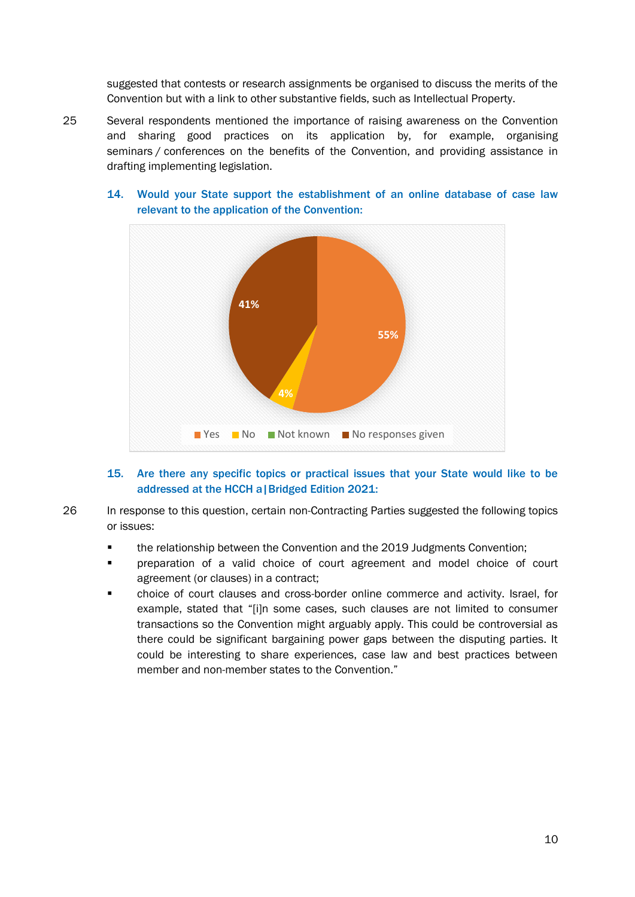suggested that contests or research assignments be organised to discuss the merits of the Convention but with a link to other substantive fields, such as Intellectual Property.

25 Several respondents mentioned the importance of raising awareness on the Convention and sharing good practices on its application by, for example, organising seminars / conferences on the benefits of the Convention, and providing assistance in drafting implementing legislation.



# 14. Would your State support the establishment of an online database of case law relevant to the application of the Convention:

# 15. Are there any specific topics or practical issues that your State would like to be addressed at the HCCH a|Bridged Edition 2021:

26 In response to this question, certain non-Contracting Parties suggested the following topics or issues:

- the relationship between the Convention and the 2019 Judgments Convention;
- preparation of a valid choice of court agreement and model choice of court agreement (or clauses) in a contract;
- choice of court clauses and cross-border online commerce and activity. Israel, for example, stated that "[i]n some cases, such clauses are not limited to consumer transactions so the Convention might arguably apply. This could be controversial as there could be significant bargaining power gaps between the disputing parties. It could be interesting to share experiences, case law and best practices between member and non-member states to the Convention."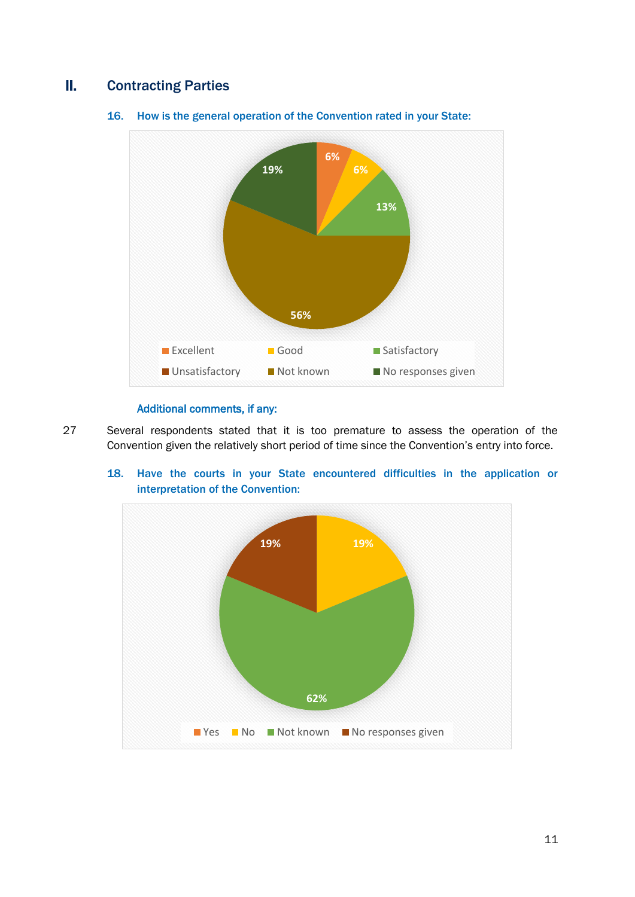# II. Contracting Parties



16. How is the general operation of the Convention rated in your State:

# Additional comments, if any:

27 Several respondents stated that it is too premature to assess the operation of the Convention given the relatively short period of time since the Convention's entry into force.



18. Have the courts in your State encountered difficulties in the application or interpretation of the Convention: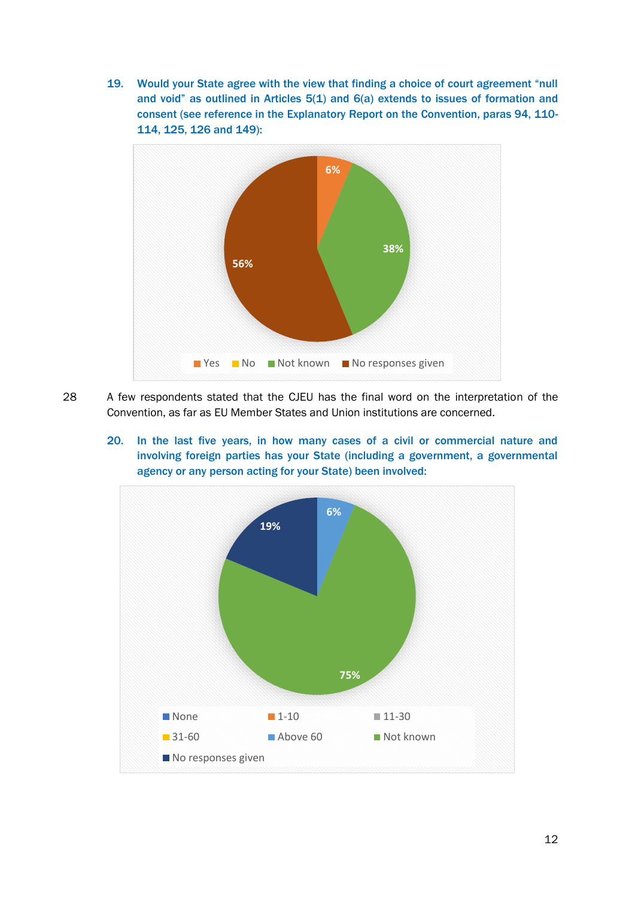19. Would your State agree with the view that finding a choice of court agreement "null and void" as outlined in Articles  $5(1)$  and  $6(a)$  extends to issues of formation and consent (see reference in the Explanatory Report on the Convention, paras 94, 110- 114, 125, 126 and 149):



- 28 A few respondents stated that the CJEU has the final word on the interpretation of the Convention, as far as EU Member States and Union institutions are concerned.
	- 20. In the last five years, in how many cases of a civil or commercial nature and involving foreign parties has your State (including a government, a governmental agency or any person acting for your State) been involved:

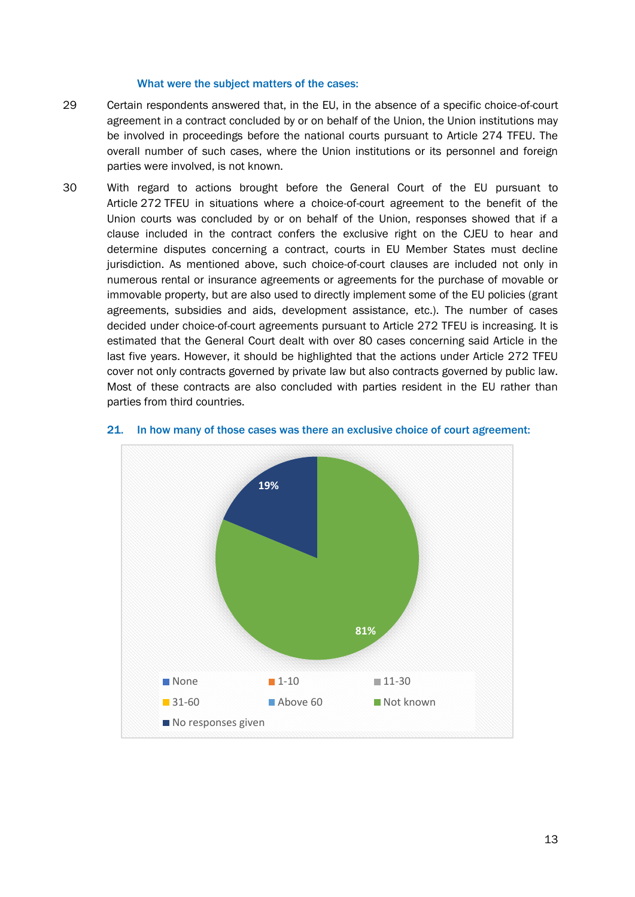#### What were the subject matters of the cases:

- 29 Certain respondents answered that, in the EU, in the absence of a specific choice-of-court agreement in a contract concluded by or on behalf of the Union, the Union institutions may be involved in proceedings before the national courts pursuant to Article 274 TFEU. The overall number of such cases, where the Union institutions or its personnel and foreign parties were involved, is not known.
- 30 With regard to actions brought before the General Court of the EU pursuant to Article 272 TFEU in situations where a choice-of-court agreement to the benefit of the Union courts was concluded by or on behalf of the Union, responses showed that if a clause included in the contract confers the exclusive right on the CJEU to hear and determine disputes concerning a contract, courts in EU Member States must decline jurisdiction. As mentioned above, such choice-of-court clauses are included not only in numerous rental or insurance agreements or agreements for the purchase of movable or immovable property, but are also used to directly implement some of the EU policies (grant agreements, subsidies and aids, development assistance, etc.). The number of cases decided under choice-of-court agreements pursuant to Article 272 TFEU is increasing. It is estimated that the General Court dealt with over 80 cases concerning said Article in the last five years. However, it should be highlighted that the actions under Article 272 TFEU cover not only contracts governed by private law but also contracts governed by public law. Most of these contracts are also concluded with parties resident in the EU rather than parties from third countries.



#### 21. In how many of those cases was there an exclusive choice of court agreement: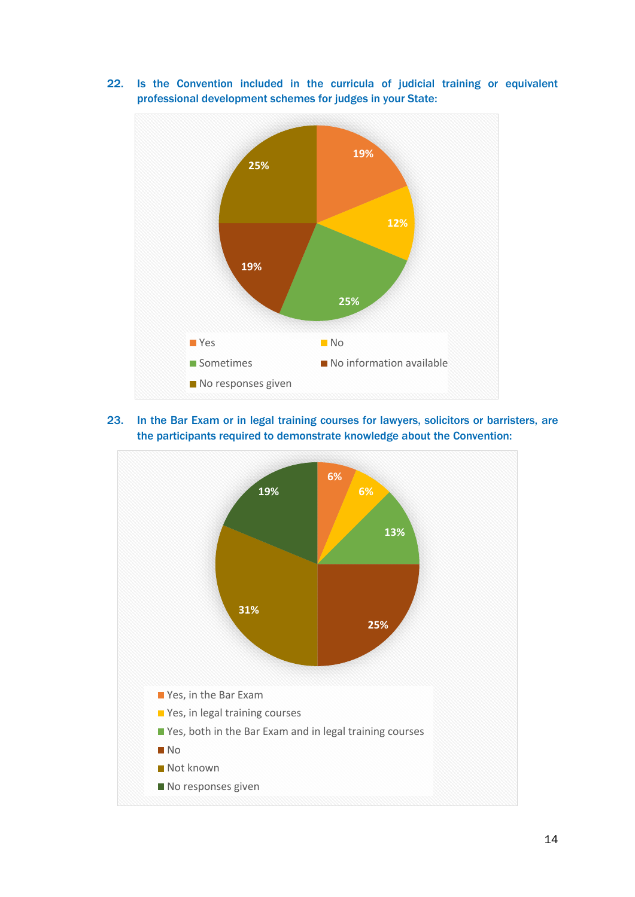

22. Is the Convention included in the curricula of judicial training or equivalent professional development schemes for judges in your State:

23. In the Bar Exam or in legal training courses for lawyers, solicitors or barristers, are the participants required to demonstrate knowledge about the Convention:

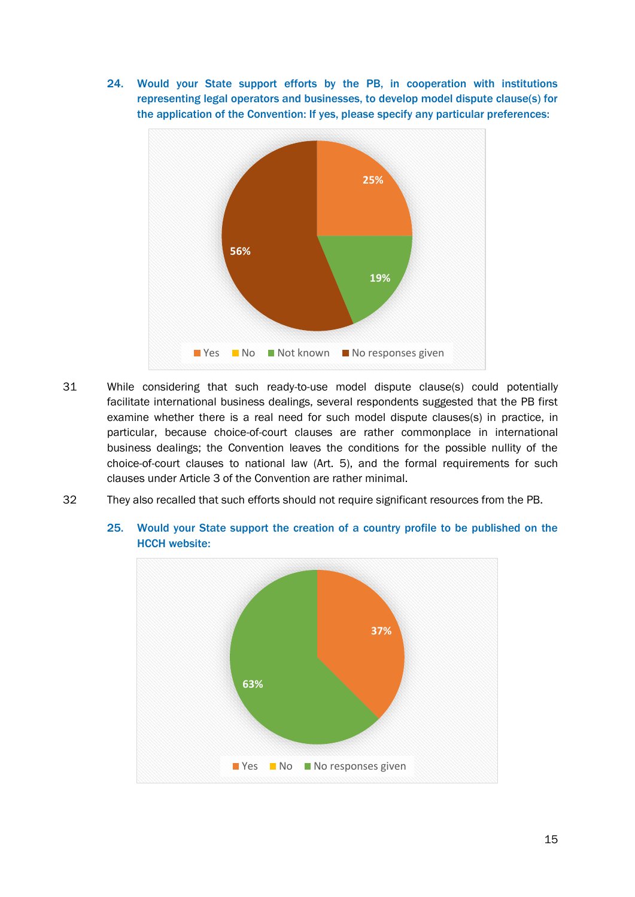24. Would your State support efforts by the PB, in cooperation with institutions representing legal operators and businesses, to develop model dispute clause(s) for the application of the Convention: If yes, please specify any particular preferences:



- 31 While considering that such ready-to-use model dispute clause(s) could potentially facilitate international business dealings, several respondents suggested that the PB first examine whether there is a real need for such model dispute clauses(s) in practice, in particular, because choice-of-court clauses are rather commonplace in international business dealings; the Convention leaves the conditions for the possible nullity of the choice-of-court clauses to national law (Art. 5), and the formal requirements for such clauses under Article 3 of the Convention are rather minimal.
- 32 They also recalled that such efforts should not require significant resources from the PB.



25. Would your State support the creation of a country profile to be published on the HCCH website: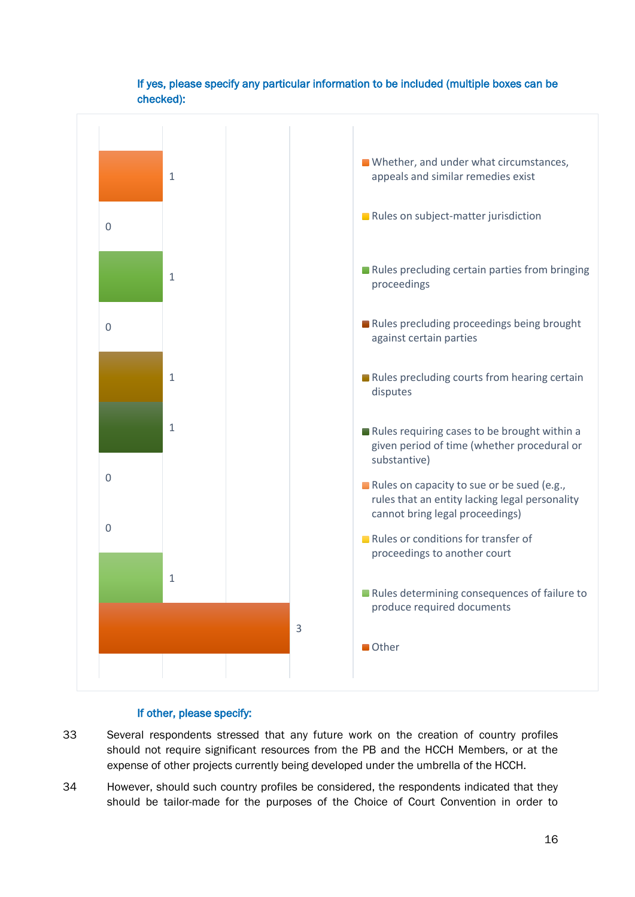

# If yes, please specify any particular information to be included (multiple boxes can be checked):

## If other, please specify:

- 33 Several respondents stressed that any future work on the creation of country profiles should not require significant resources from the PB and the HCCH Members, or at the expense of other projects currently being developed under the umbrella of the HCCH.
- 34 However, should such country profiles be considered, the respondents indicated that they should be tailor-made for the purposes of the Choice of Court Convention in order to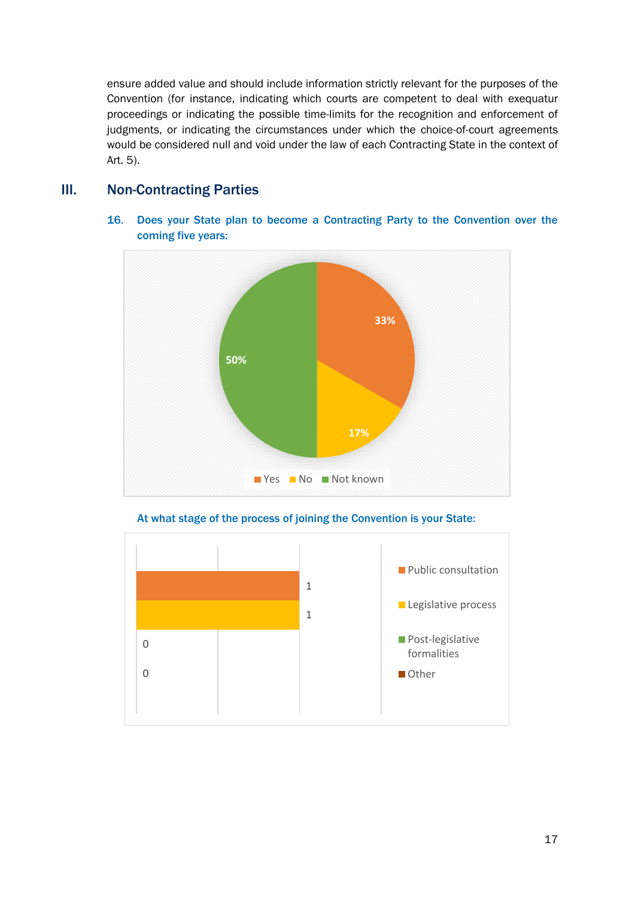ensure added value and should include information strictly relevant for the purposes of the Convention (for instance, indicating which courts are competent to deal with exequatur proceedings or indicating the possible time-limits for the recognition and enforcement of judgments, or indicating the circumstances under which the choice-of-court agreements would be considered null and void under the law of each Contracting State in the context of Art. 5).

# III. Non-Contracting Parties



16. Does your State plan to become a Contracting Party to the Convention over the coming five years:

At what stage of the process of joining the Convention is your State:

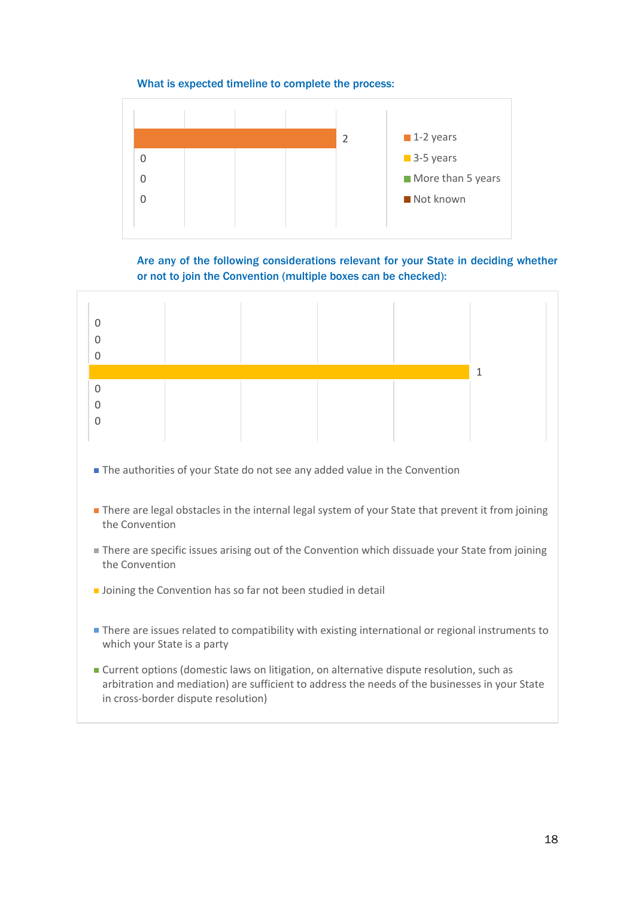## What is expected timeline to complete the process:



Are any of the following considerations relevant for your State in deciding whether or not to join the Convention (multiple boxes can be checked):

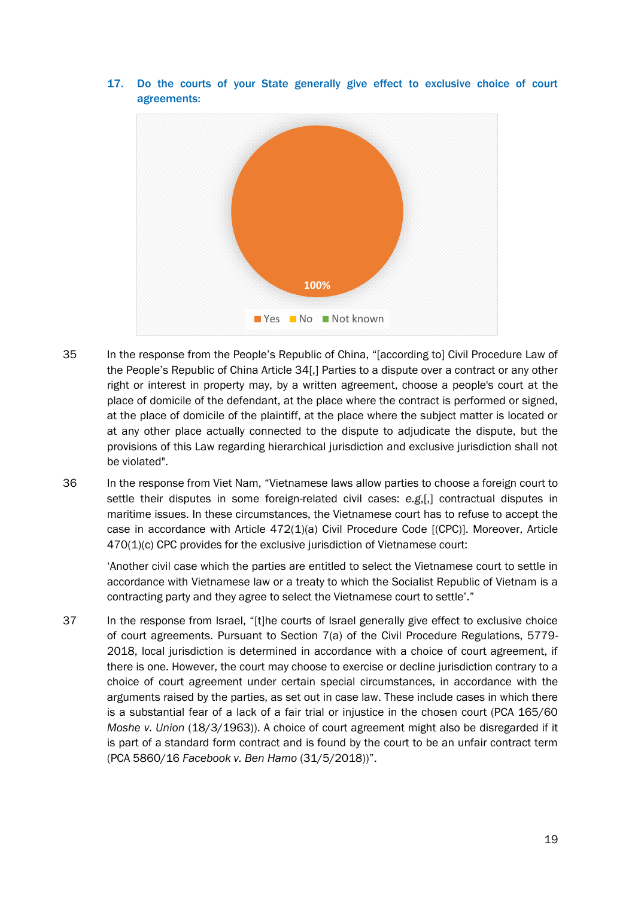

17. Do the courts of your State generally give effect to exclusive choice of court agreements:

- 35 In the response from the People's Republic of China, "[according to] Civil Procedure Law of the People's Republic of China Article 34[.] Parties to a dispute over a contract or any other right or interest in property may, by a written agreement, choose a people's court at the place of domicile of the defendant, at the place where the contract is performed or signed, at the place of domicile of the plaintiff, at the place where the subject matter is located or at any other place actually connected to the dispute to adjudicate the dispute, but the provisions of this Law regarding hierarchical jurisdiction and exclusive jurisdiction shall not be violated".
- 36 In the response from Viet Nam, "Vietnamese laws allow parties to choose a foreign court to settle their disputes in some foreign-related civil cases: *e.g*,[,] contractual disputes in maritime issues. In these circumstances, the Vietnamese court has to refuse to accept the case in accordance with Article 472(1)(a) Civil Procedure Code [(CPC)]. Moreover, Article 470(1)(c) CPC provides for the exclusive jurisdiction of Vietnamese court:

'Another civil case which the parties are entitled to select the Vietnamese court to settle in accordance with Vietnamese law or a treaty to which the Socialist Republic of Vietnam is a contracting party and they agree to select the Vietnamese court to settle'."

37 In the response from Israel, "[t]he courts of Israel generally give effect to exclusive choice of court agreements. Pursuant to Section 7(a) of the Civil Procedure Regulations, 5779- 2018, local jurisdiction is determined in accordance with a choice of court agreement, if there is one. However, the court may choose to exercise or decline jurisdiction contrary to a choice of court agreement under certain special circumstances, in accordance with the arguments raised by the parties, as set out in case law. These include cases in which there is a substantial fear of a lack of a fair trial or injustice in the chosen court (PCA 165/60 *Moshe v. Union* (18/3/1963)). A choice of court agreement might also be disregarded if it is part of a standard form contract and is found by the court to be an unfair contract term (PCA 5860/16 *Facebook v. Ben Hamo* (31/5/2018))".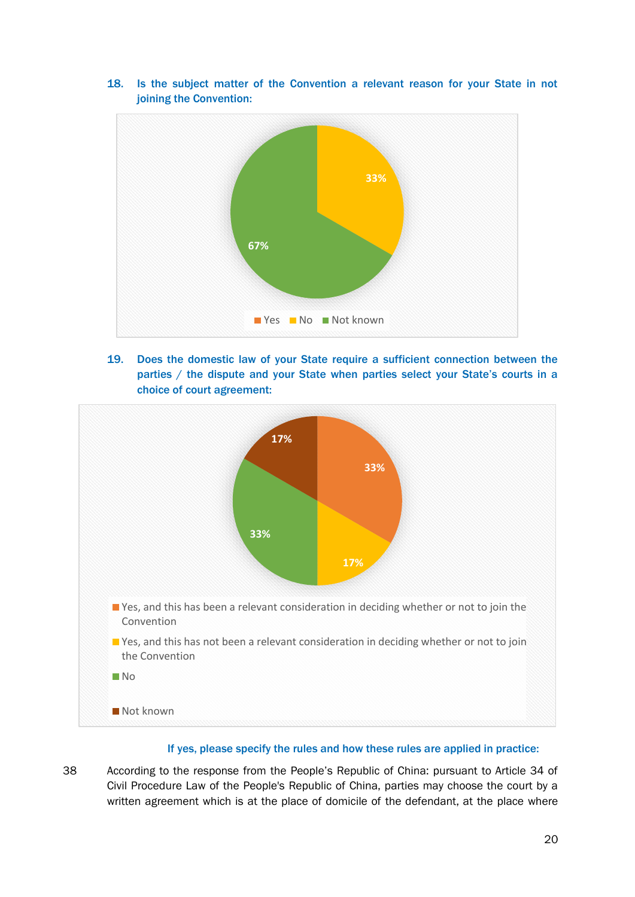

18. Is the subject matter of the Convention a relevant reason for your State in not joining the Convention:

19. Does the domestic law of your State require a sufficient connection between the parties / the dispute and your State when parties select your State's courts in a choice of court agreement:



## If yes, please specify the rules and how these rules are applied in practice:

38 According to the response from the People's Republic of China: pursuant to Article 34 of Civil Procedure Law of the People's Republic of China, parties may choose the court by a written agreement which is at the place of domicile of the defendant, at the place where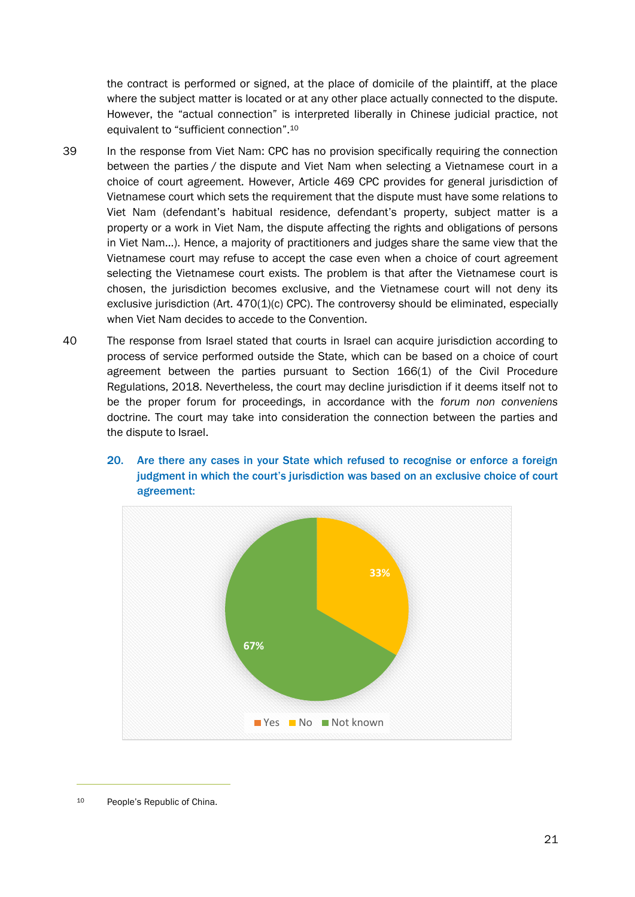the contract is performed or signed, at the place of domicile of the plaintiff, at the place where the subject matter is located or at any other place actually connected to the dispute. However, the "actual connection" is interpreted liberally in Chinese judicial practice, not equivalent to "sufficient connection".<sup>10</sup>

- 39 In the response from Viet Nam: CPC has no provision specifically requiring the connection between the parties / the dispute and Viet Nam when selecting a Vietnamese court in a choice of court agreement. However, Article 469 CPC provides for general jurisdiction of Vietnamese court which sets the requirement that the dispute must have some relations to Viet Nam (defendant's habitual residence, defendant's property, subject matter is a property or a work in Viet Nam, the dispute affecting the rights and obligations of persons in Viet Nam…). Hence, a majority of practitioners and judges share the same view that the Vietnamese court may refuse to accept the case even when a choice of court agreement selecting the Vietnamese court exists. The problem is that after the Vietnamese court is chosen, the jurisdiction becomes exclusive, and the Vietnamese court will not deny its exclusive jurisdiction (Art.  $470(1)(c)$  CPC). The controversy should be eliminated, especially when Viet Nam decides to accede to the Convention.
- 40 The response from Israel stated that courts in Israel can acquire jurisdiction according to process of service performed outside the State, which can be based on a choice of court agreement between the parties pursuant to Section 166(1) of the Civil Procedure Regulations, 2018. Nevertheless, the court may decline jurisdiction if it deems itself not to be the proper forum for proceedings, in accordance with the *forum non conveniens* doctrine. The court may take into consideration the connection between the parties and the dispute to Israel.





<sup>10</sup> People's Republic of China.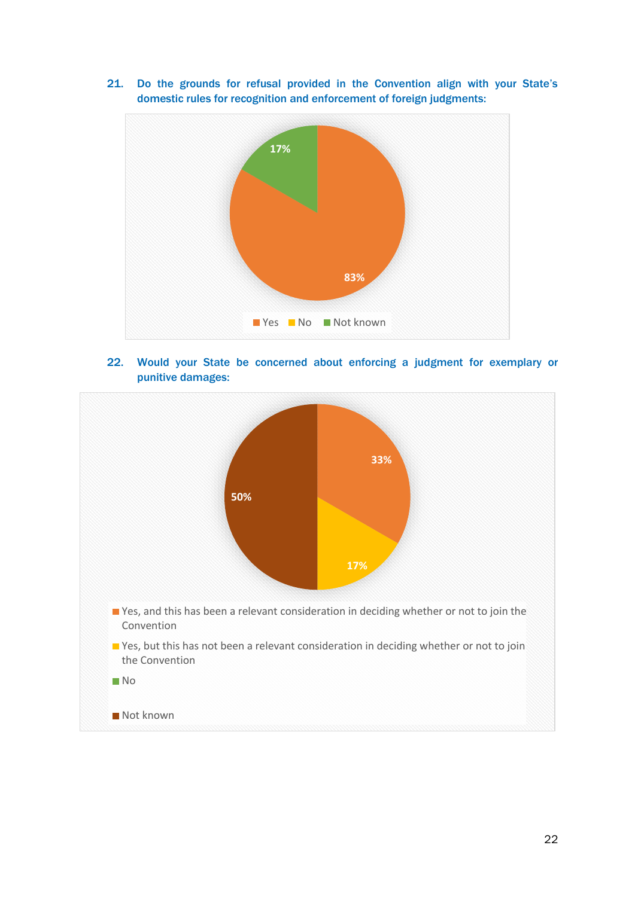21. Do the grounds for refusal provided in the Convention align with your State's domestic rules for recognition and enforcement of foreign judgments:



22. Would your State be concerned about enforcing a judgment for exemplary or punitive damages:

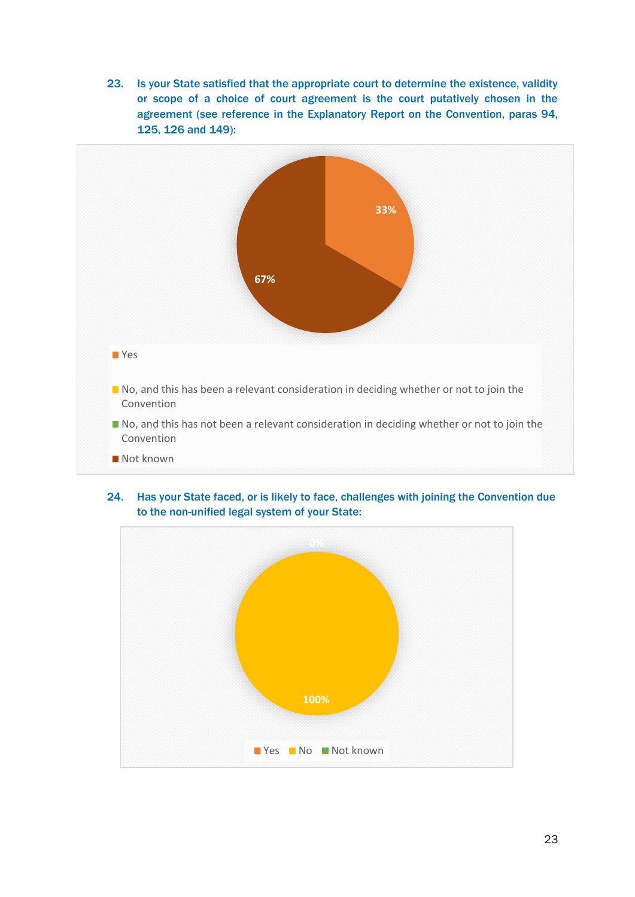23. Is your State satisfied that the appropriate court to determine the existence, validity or scope of a choice of court agreement is the court putatively chosen in the agreement (see reference in the Explanatory Report on the Convention, paras 94, 125, 126 and 149):



24. Has your State faced, or is likely to face, challenges with joining the Convention due to the non-unified legal system of your State:

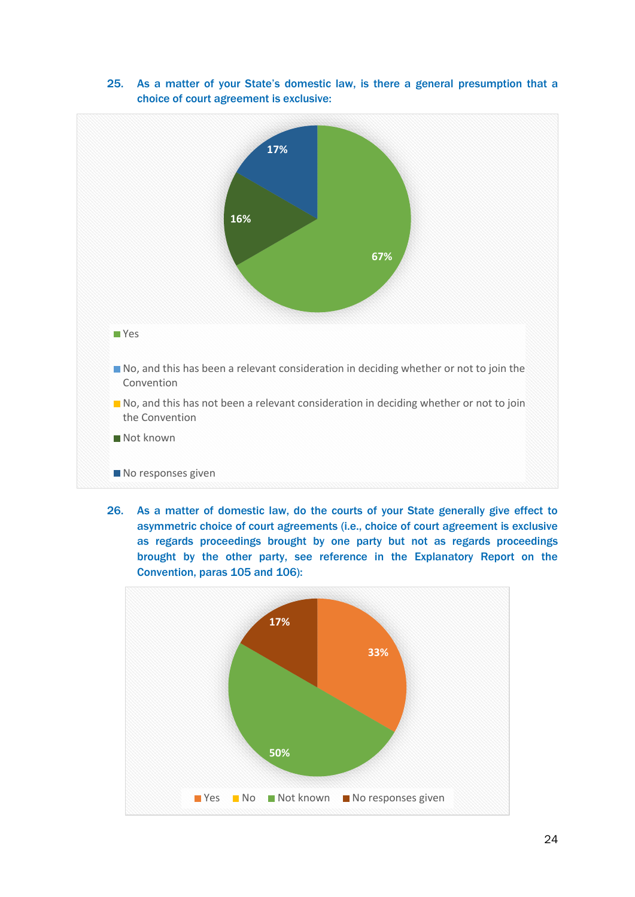

25. As a matter of your State's domestic law, is there a general presumption that a choice of court agreement is exclusive:

26. As a matter of domestic law, do the courts of your State generally give effect to asymmetric choice of court agreements (i.e., choice of court agreement is exclusive as regards proceedings brought by one party but not as regards proceedings brought by the other party, see reference in the Explanatory Report on the Convention, paras 105 and 106):

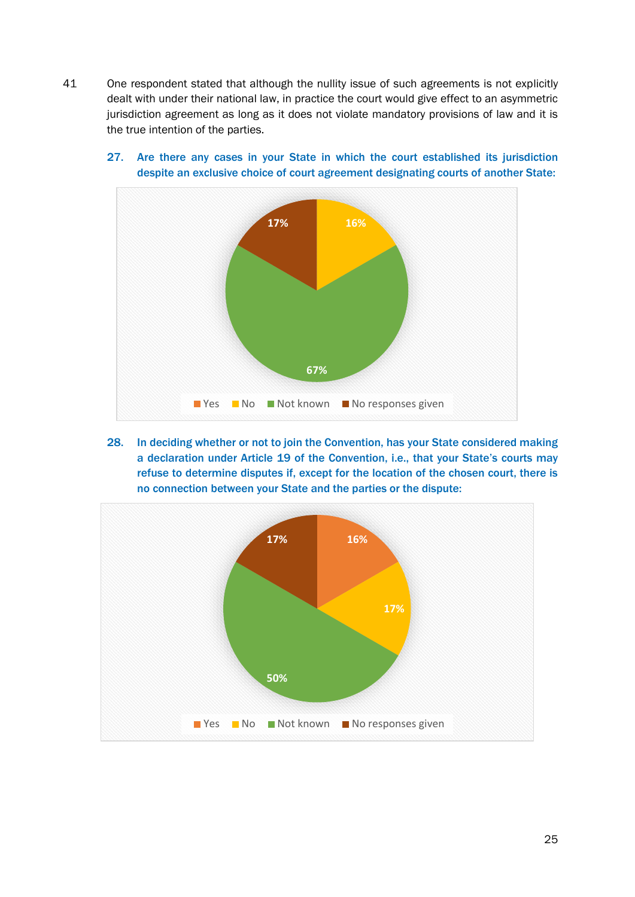41 One respondent stated that although the nullity issue of such agreements is not explicitly dealt with under their national law, in practice the court would give effect to an asymmetric jurisdiction agreement as long as it does not violate mandatory provisions of law and it is the true intention of the parties.



27. Are there any cases in your State in which the court established its jurisdiction despite an exclusive choice of court agreement designating courts of another State:

28. In deciding whether or not to join the Convention, has your State considered making a declaration under Article 19 of the Convention, i.e., that your State's courts may refuse to determine disputes if, except for the location of the chosen court, there is no connection between your State and the parties or the dispute:

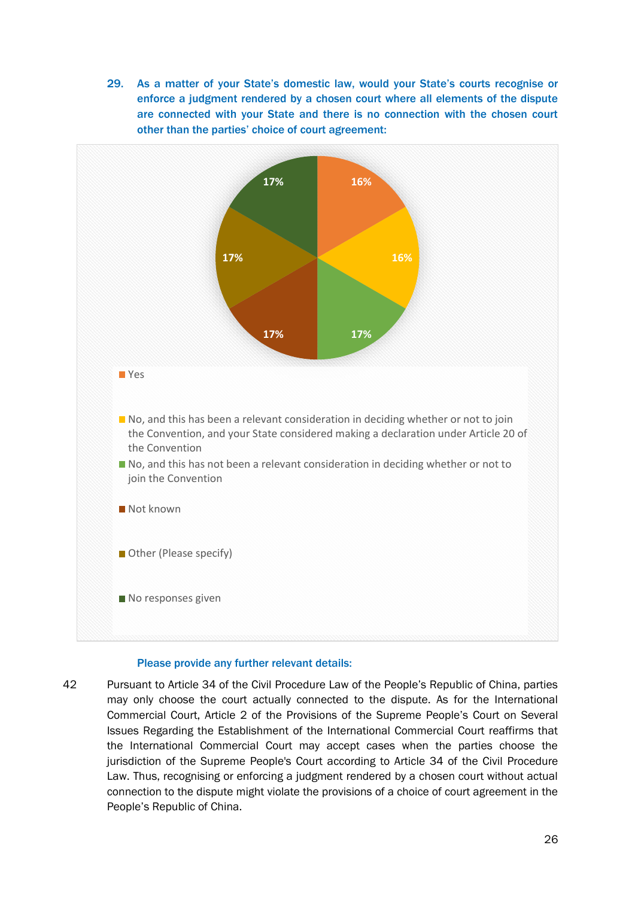29. As a matter of your State's domestic law, would your State's courts recognise or enforce a judgment rendered by a chosen court where all elements of the dispute are connected with your State and there is no connection with the chosen court other than the parties' choice of court agreement:



#### Please provide any further relevant details:

42 Pursuant to Article 34 of the Civil Procedure Law of the People's Republic of China, parties may only choose the court actually connected to the dispute. As for the International Commercial Court, Article 2 of the Provisions of the Supreme People's Court on Several Issues Regarding the Establishment of the International Commercial Court reaffirms that the International Commercial Court may accept cases when the parties choose the jurisdiction of the Supreme People's Court according to Article 34 of the Civil Procedure Law. Thus, recognising or enforcing a judgment rendered by a chosen court without actual connection to the dispute might violate the provisions of a choice of court agreement in the People's Republic of China.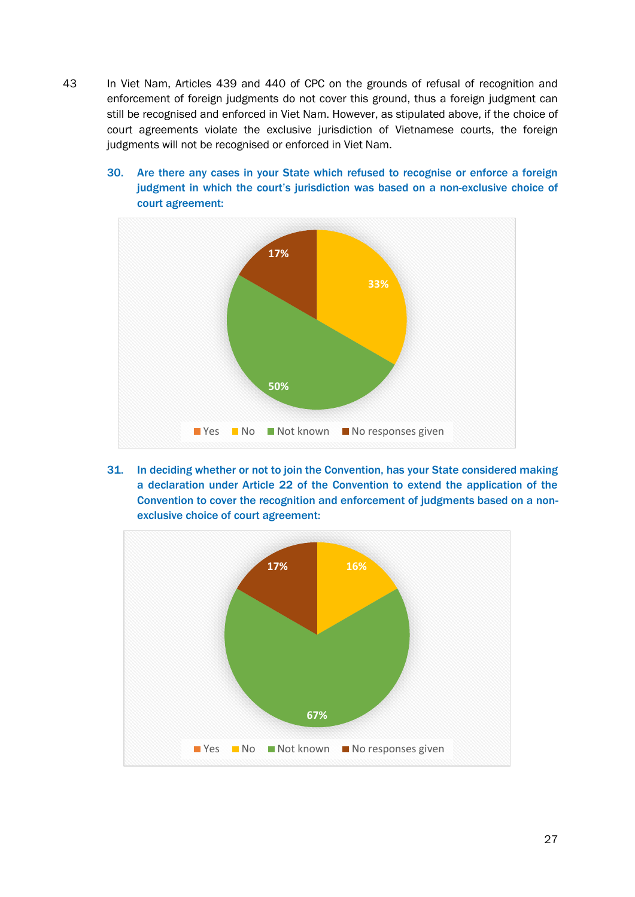- 43 In Viet Nam, Articles 439 and 440 of CPC on the grounds of refusal of recognition and enforcement of foreign judgments do not cover this ground, thus a foreign judgment can still be recognised and enforced in Viet Nam. However, as stipulated above, if the choice of court agreements violate the exclusive jurisdiction of Vietnamese courts, the foreign judgments will not be recognised or enforced in Viet Nam.
	- 30. Are there any cases in your State which refused to recognise or enforce a foreign judgment in which the court's jurisdiction was based on a non-exclusive choice of court agreement:



31. In deciding whether or not to join the Convention, has your State considered making a declaration under Article 22 of the Convention to extend the application of the Convention to cover the recognition and enforcement of judgments based on a nonexclusive choice of court agreement:

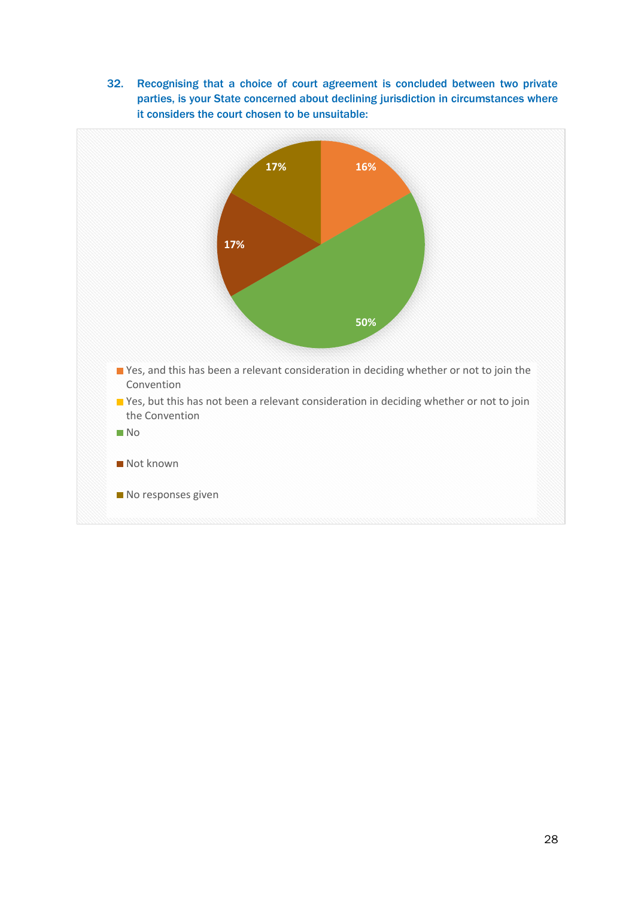32. Recognising that a choice of court agreement is concluded between two private parties, is your State concerned about declining jurisdiction in circumstances where it considers the court chosen to be unsuitable: